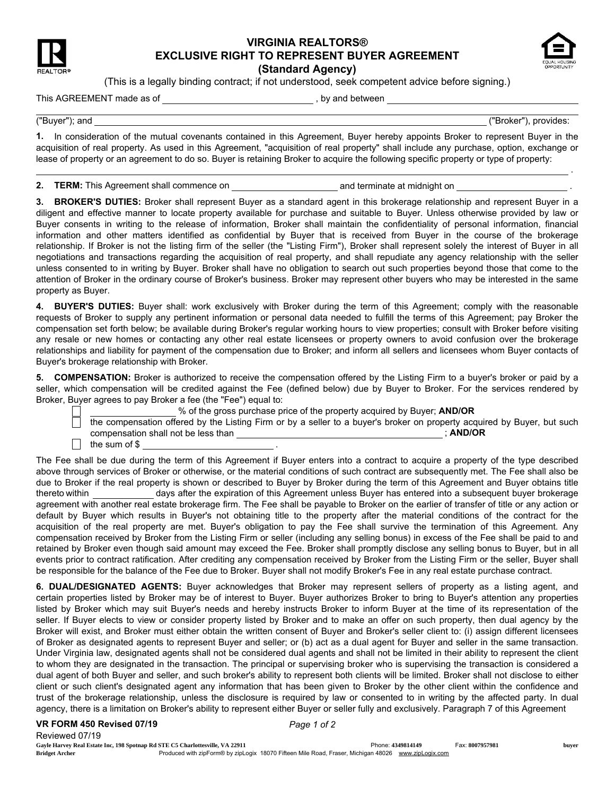

## VIRGINIA REALTORS® EXCLUSIVE RIGHT TO REPRESENT BUYER AGREEMENT



.

(Standard Agency) (This is a legally binding contract; if not understood, seek competent advice before signing.)

## This AGREEMENT made as of , by and between

("Buyer"); and ("Broker"), provides:

1. In consideration of the mutual covenants contained in this Agreement, Buyer hereby appoints Broker to represent Buyer in the acquisition of real property. As used in this Agreement, "acquisition of real property" shall include any purchase, option, exchange or lease of property or an agreement to do so. Buyer is retaining Broker to acquire the following specific property or type of property:

2. TERM: This Agreement shall commence on and terminate at midnight on .

3. BROKER'S DUTIES: Broker shall represent Buyer as a standard agent in this brokerage relationship and represent Buyer in a diligent and effective manner to locate property available for purchase and suitable to Buyer. Unless otherwise provided by law or Buyer consents in writing to the release of information, Broker shall maintain the confidentiality of personal information, financial information and other matters identified as confidential by Buyer that is received from Buyer in the course of the brokerage relationship. If Broker is not the listing firm of the seller (the "Listing Firm"), Broker shall represent solely the interest of Buyer in all negotiations and transactions regarding the acquisition of real property, and shall repudiate any agency relationship with the seller unless consented to in writing by Buyer. Broker shall have no obligation to search out such properties beyond those that come to the attention of Broker in the ordinary course of Broker's business. Broker may represent other buyers who may be interested in the same property as Buyer.

4. BUYER'S DUTIES: Buyer shall: work exclusively with Broker during the term of this Agreement; comply with the reasonable requests of Broker to supply any pertinent information or personal data needed to fulfill the terms of this Agreement; pay Broker the compensation set forth below; be available during Broker's regular working hours to view properties; consult with Broker before visiting any resale or new homes or contacting any other real estate licensees or property owners to avoid confusion over the brokerage relationships and liability for payment of the compensation due to Broker; and inform all sellers and licensees whom Buyer contacts of Buyer's brokerage relationship with Broker.

5. COMPENSATION: Broker is authorized to receive the compensation offered by the Listing Firm to a buyer's broker or paid by a seller, which compensation will be credited against the Fee (defined below) due by Buyer to Broker. For the services rendered by Broker, Buyer agrees to pay Broker a fee (the "Fee") equal to:

|  | % of the gross purchase price of the property acquired by Buyer; AND/OR |  |  |
|--|-------------------------------------------------------------------------|--|--|
|  |                                                                         |  |  |

|                                     | the compensation offered by the Listing Firm or by a seller to a buyer's broker on property acquired by Buyer, but such |  |
|-------------------------------------|-------------------------------------------------------------------------------------------------------------------------|--|
| compensation shall not be less than | <b>AND/OR</b>                                                                                                           |  |
| the sum of \$                       |                                                                                                                         |  |

The Fee shall be due during the term of this Agreement if Buyer enters into a contract to acquire a property of the type described above through services of Broker or otherwise, or the material conditions of such contract are subsequently met. The Fee shall also be due to Broker if the real property is shown or described to Buyer by Broker during the term of this Agreement and Buyer obtains title thereto within days after the expiration of this Agreement unless Buyer has entered into a subsequent buyer brokerage agreement with another real estate brokerage firm. The Fee shall be payable to Broker on the earlier of transfer of title or any action or default by Buyer which results in Buyer's not obtaining title to the property after the material conditions of the contract for the acquisition of the real property are met. Buyer's obligation to pay the Fee shall survive the termination of this Agreement. Any compensation received by Broker from the Listing Firm or seller (including any selling bonus) in excess of the Fee shall be paid to and retained by Broker even though said amount may exceed the Fee. Broker shall promptly disclose any selling bonus to Buyer, but in all events prior to contract ratification. After crediting any compensation received by Broker from the Listing Firm or the seller, Buyer shall be responsible for the balance of the Fee due to Broker. Buyer shall not modify Broker's Fee in any real estate purchase contract.

6. DUAL/DESIGNATED AGENTS: Buyer acknowledges that Broker may represent sellers of property as a listing agent, and certain properties listed by Broker may be of interest to Buyer. Buyer authorizes Broker to bring to Buyer's attention any properties listed by Broker which may suit Buyer's needs and hereby instructs Broker to inform Buyer at the time of its representation of the seller. If Buyer elects to view or consider property listed by Broker and to make an offer on such property, then dual agency by the Broker will exist, and Broker must either obtain the written consent of Buyer and Broker's seller client to: (i) assign different licensees of Broker as designated agents to represent Buyer and seller; or (b) act as a dual agent for Buyer and seller in the same transaction. Under Virginia law, designated agents shall not be considered dual agents and shall not be limited in their ability to represent the client to whom they are designated in the transaction. The principal or supervising broker who is supervising the transaction is considered a dual agent of both Buyer and seller, and such broker's ability to represent both clients will be limited. Broker shall not disclose to either client or such client's designated agent any information that has been given to Broker by the other client within the confidence and trust of the brokerage relationship, unless the disclosure is required by law or consented to in writing by the affected party. In dual agency, there is a limitation on Broker's ability to represent either Buyer or seller fully and exclusively. Paragraph 7 of this Agreement

## VR FORM 450 Revised 07/19 *Page 1 of 2*

Reviewed 07/19